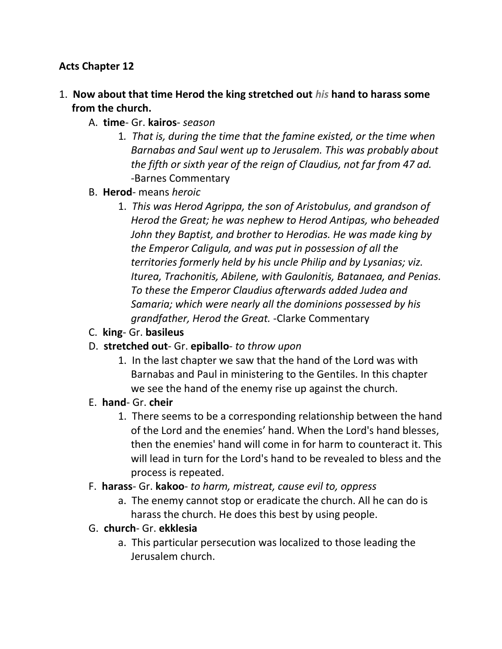#### **Acts Chapter 12**

- 1. **Now about that time Herod the king stretched out** *his* **hand to harass some from the church.** 
	- A. **time** Gr. **kairos** *season*
		- 1*. That is, during the time that the famine existed, or the time when Barnabas and Saul went up to Jerusalem. This was probably about the fifth or sixth year of the reign of Claudius, not far from 47 ad.* -Barnes Commentary
	- B. **Herod** means *heroic*
		- 1. *This was Herod Agrippa, the son of Aristobulus, and grandson of Herod the Great; he was nephew to Herod Antipas, who beheaded John they Baptist, and brother to Herodias. He was made king by the Emperor Caligula, and was put in possession of all the territories formerly held by his uncle Philip and by Lysanias; viz. Iturea, Trachonitis, Abilene, with Gaulonitis, Batanaea, and Penias. To these the Emperor Claudius afterwards added Judea and Samaria; which were nearly all the dominions possessed by his grandfather, Herod the Great.* -Clarke Commentary
	- C. **king** Gr. **basileus**
	- D. **stretched out** Gr. **epiballo** *to throw upon*
		- 1. In the last chapter we saw that the hand of the Lord was with Barnabas and Paul in ministering to the Gentiles. In this chapter we see the hand of the enemy rise up against the church.
	- E. **hand** Gr. **cheir**
		- 1. There seems to be a corresponding relationship between the hand of the Lord and the enemies' hand. When the Lord's hand blesses, then the enemies' hand will come in for harm to counteract it. This will lead in turn for the Lord's hand to be revealed to bless and the process is repeated.
	- F. **harass** Gr. **kakoo** *to harm, mistreat, cause evil to, oppress*
		- a. The enemy cannot stop or eradicate the church. All he can do is harass the church. He does this best by using people.
	- G. **church** Gr. **ekklesia**
		- a. This particular persecution was localized to those leading the Jerusalem church.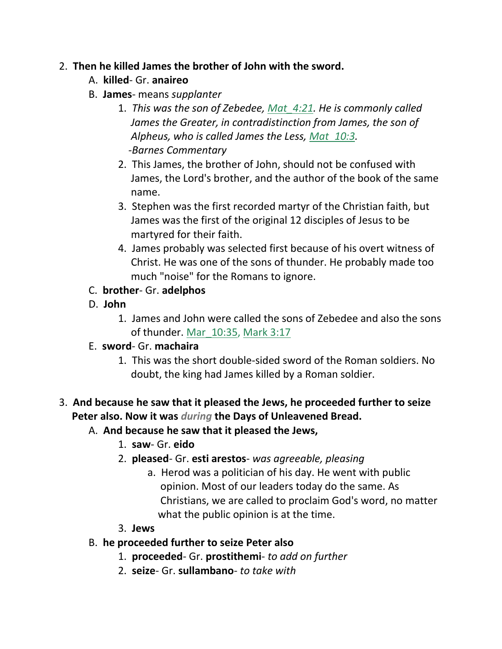#### 2. **Then he killed James the brother of John with the sword.**

- A. **killed** Gr. **anaireo**
- B. **James** means *supplanter*
	- 1. *This was the son of Zebedee, Mat\_4:21. He is commonly called James the Greater, in contradistinction from James, the son of Alpheus, who is called James the Less, Mat\_10:3. -Barnes Commentary*
	- 2. This James, the brother of John, should not be confused with James, the Lord's brother, and the author of the book of the same name.
	- 3. Stephen was the first recorded martyr of the Christian faith, but James was the first of the original 12 disciples of Jesus to be martyred for their faith.
	- 4. James probably was selected first because of his overt witness of Christ. He was one of the sons of thunder. He probably made too much "noise" for the Romans to ignore.
- C. **brother** Gr. **adelphos**
- D. **John**
	- 1. James and John were called the sons of Zebedee and also the sons of thunder. Mar 10:35, Mark 3:17
- E. **sword** Gr. **machaira**
	- 1. This was the short double-sided sword of the Roman soldiers. No doubt, the king had James killed by a Roman soldier.
- 3. **And because he saw that it pleased the Jews, he proceeded further to seize Peter also. Now it was** *during* **the Days of Unleavened Bread.** 
	- A. **And because he saw that it pleased the Jews,**
		- 1. **saw** Gr. **eido**
		- 2. **pleased** Gr. **esti arestos** *was agreeable, pleasing*
			- a. Herod was a politician of his day. He went with public opinion. Most of our leaders today do the same. As Christians, we are called to proclaim God's word, no matter what the public opinion is at the time.
		- 3. **Jews**
	- B. **he proceeded further to seize Peter also**
		- 1. **proceeded** Gr. **prostithemi** *to add on further*
		- 2. **seize** Gr. **sullambano** *to take with*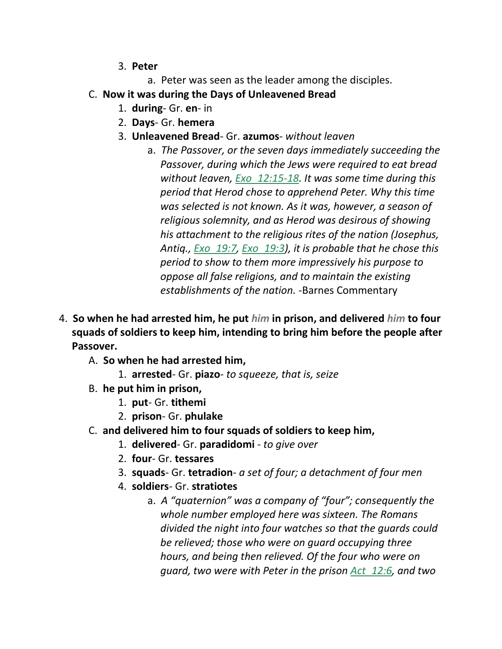- 3. **Peter**
	- a. Peter was seen as the leader among the disciples.
- C. **Now it was during the Days of Unleavened Bread**
	- 1. **during** Gr. **en** in
	- 2. **Days** Gr. **hemera**
	- 3. **Unleavened Bread** Gr. **azumos** *without leaven*
		- a. *The Passover, or the seven days immediately succeeding the Passover, during which the Jews were required to eat bread without leaven, Exo\_12:15-18. It was some time during this period that Herod chose to apprehend Peter. Why this time was selected is not known. As it was, however, a season of religious solemnity, and as Herod was desirous of showing his attachment to the religious rites of the nation (Josephus, Antiq., Exo\_19:7, Exo\_19:3), it is probable that he chose this period to show to them more impressively his purpose to oppose all false religions, and to maintain the existing establishments of the nation.* -Barnes Commentary
- 4. **So when he had arrested him, he put** *him* **in prison, and delivered** *him* **to four squads of soldiers to keep him, intending to bring him before the people after Passover.** 
	- A. **So when he had arrested him,**
		- 1. **arrested** Gr. **piazo** *to squeeze, that is, seize*
	- B. **he put him in prison,**
		- 1. **put** Gr. **tithemi**
		- 2. **prison** Gr. **phulake**
	- C. **and delivered him to four squads of soldiers to keep him,**
		- 1. **delivered** Gr. **paradidomi**  *to give over*
		- 2. **four** Gr. **tessares**
		- 3. **squads** Gr. **tetradion** *a set of four; a detachment of four men*
		- 4. **soldiers** Gr. **stratiotes**
			- a. *A "quaternion" was a company of "four"; consequently the whole number employed here was sixteen. The Romans divided the night into four watches so that the guards could be relieved; those who were on guard occupying three hours, and being then relieved. Of the four who were on guard, two were with Peter in the prison Act\_12:6, and two*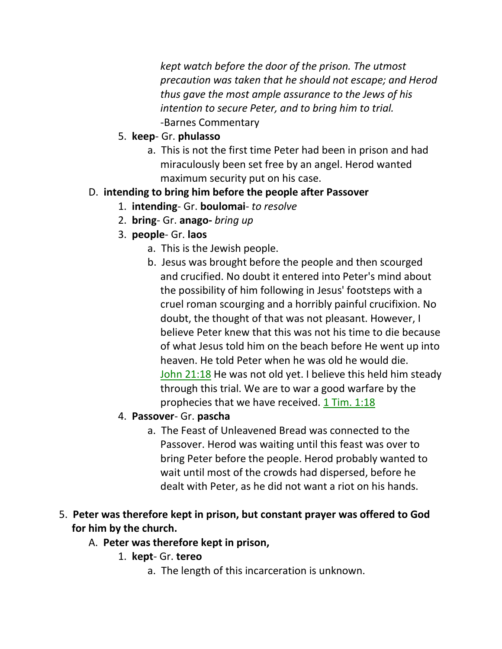*kept watch before the door of the prison. The utmost precaution was taken that he should not escape; and Herod thus gave the most ample assurance to the Jews of his intention to secure Peter, and to bring him to trial.* -Barnes Commentary

- 5. **keep** Gr. **phulasso**
	- a. This is not the first time Peter had been in prison and had miraculously been set free by an angel. Herod wanted maximum security put on his case.

## D. **intending to bring him before the people after Passover**

- 1. **intending** Gr. **boulomai** *to resolve*
- 2. **bring** Gr. **anago-** *bring up*
- 3. **people** Gr. **laos**
	- a. This is the Jewish people.
	- b. Jesus was brought before the people and then scourged and crucified. No doubt it entered into Peter's mind about the possibility of him following in Jesus' footsteps with a cruel roman scourging and a horribly painful crucifixion. No doubt, the thought of that was not pleasant. However, I believe Peter knew that this was not his time to die because of what Jesus told him on the beach before He went up into heaven. He told Peter when he was old he would die. John 21:18 He was not old yet. I believe this held him steady through this trial. We are to war a good warfare by the prophecies that we have received.  $1$  Tim. 1:18
- 4. **Passover** Gr. **pascha**
	- a. The Feast of Unleavened Bread was connected to the Passover. Herod was waiting until this feast was over to bring Peter before the people. Herod probably wanted to wait until most of the crowds had dispersed, before he dealt with Peter, as he did not want a riot on his hands.
- 5. **Peter was therefore kept in prison, but constant prayer was offered to God for him by the church.** 
	- A. **Peter was therefore kept in prison,**
		- 1. **kept** Gr. **tereo**
			- a. The length of this incarceration is unknown.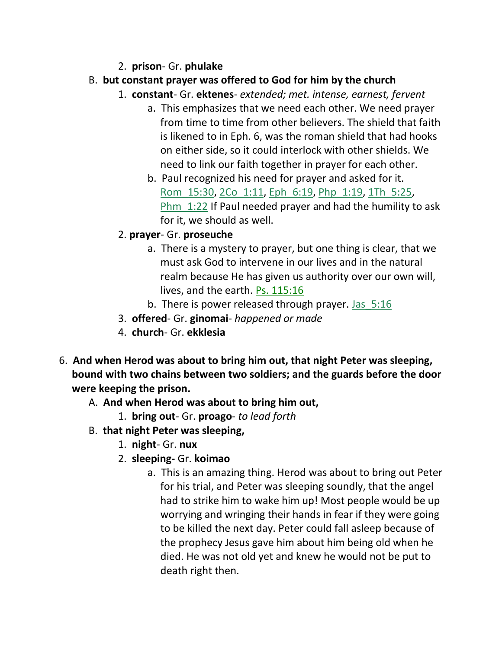- 2. **prison** Gr. **phulake**
- B. **but constant prayer was offered to God for him by the church**
	- 1. **constant** Gr. **ektenes** *extended; met. intense, earnest, fervent*
		- a. This emphasizes that we need each other. We need prayer from time to time from other believers. The shield that faith is likened to in Eph. 6, was the roman shield that had hooks on either side, so it could interlock with other shields. We need to link our faith together in prayer for each other.
		- b. Paul recognized his need for prayer and asked for it. Rom\_15:30, 2Co\_1:11, Eph\_6:19, Php\_1:19, 1Th\_5:25, **Phm**  $1:22$  If Paul needed prayer and had the humility to ask for it, we should as well.
	- 2. **prayer** Gr. **proseuche**
		- a. There is a mystery to prayer, but one thing is clear, that we must ask God to intervene in our lives and in the natural realm because He has given us authority over our own will, lives, and the earth. Ps. 115:16
		- b. There is power released through prayer. Jas 5:16
	- 3. **offered** Gr. **ginomai** *happened or made*
	- 4. **church** Gr. **ekklesia**
- 6. **And when Herod was about to bring him out, that night Peter was sleeping, bound with two chains between two soldiers; and the guards before the door were keeping the prison.** 
	- A. **And when Herod was about to bring him out,**
		- 1. **bring out** Gr. **proago** *to lead forth*
	- B. **that night Peter was sleeping,**
		- 1. **night** Gr. **nux**
		- 2. **sleeping-** Gr. **koimao**
			- a. This is an amazing thing. Herod was about to bring out Peter for his trial, and Peter was sleeping soundly, that the angel had to strike him to wake him up! Most people would be up worrying and wringing their hands in fear if they were going to be killed the next day. Peter could fall asleep because of the prophecy Jesus gave him about him being old when he died. He was not old yet and knew he would not be put to death right then.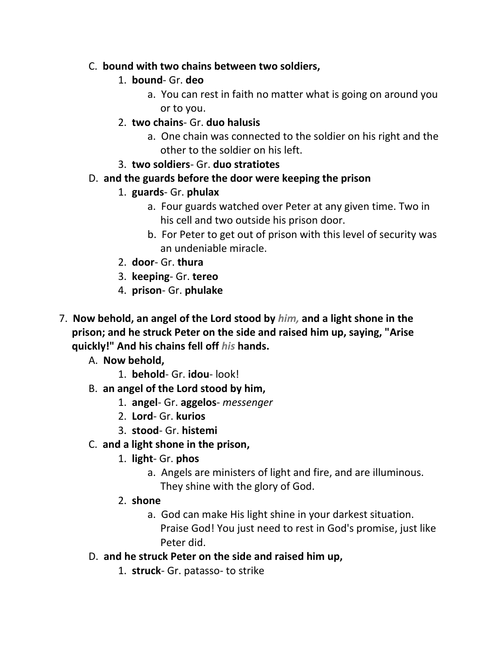#### C. **bound with two chains between two soldiers,**

#### 1. **bound**- Gr. **deo**

- a. You can rest in faith no matter what is going on around you or to you.
- 2. **two chains** Gr. **duo halusis**
	- a. One chain was connected to the soldier on his right and the other to the soldier on his left.

#### 3. **two soldiers**- Gr. **duo stratiotes**

## D. **and the guards before the door were keeping the prison**

## 1. **guards**- Gr. **phulax**

- a. Four guards watched over Peter at any given time. Two in his cell and two outside his prison door.
- b. For Peter to get out of prison with this level of security was an undeniable miracle.
- 2. **door** Gr. **thura**
- 3. **keeping** Gr. **tereo**
- 4. **prison** Gr. **phulake**
- 7. **Now behold, an angel of the Lord stood by** *him,* **and a light shone in the prison; and he struck Peter on the side and raised him up, saying, "Arise quickly!" And his chains fell off** *his* **hands.** 
	- A. **Now behold,**
		- 1. **behold** Gr. **idou** look!
	- B. **an angel of the Lord stood by him,**
		- 1. **angel** Gr. **aggelos** *messenger*
		- 2. **Lord** Gr. **kurios**
		- 3. **stood** Gr. **histemi**
	- C. **and a light shone in the prison,**
		- 1. **light** Gr. **phos**
			- a. Angels are ministers of light and fire, and are illuminous. They shine with the glory of God.
		- 2. **shone**
			- a. God can make His light shine in your darkest situation. Praise God! You just need to rest in God's promise, just like Peter did.
	- D. **and he struck Peter on the side and raised him up,**
		- 1. **struck** Gr. patasso- to strike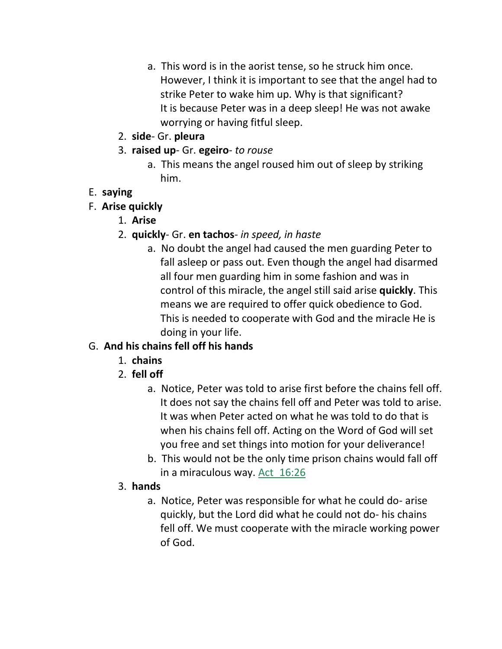- a. This word is in the aorist tense, so he struck him once. However, I think it is important to see that the angel had to strike Peter to wake him up. Why is that significant? It is because Peter was in a deep sleep! He was not awake worrying or having fitful sleep.
- 2. **side** Gr. **pleura**
- 3. **raised up** Gr. **egeiro** *to rouse*
	- a. This means the angel roused him out of sleep by striking him.

## E. **saying**

- F. **Arise quickly**
	- 1. **Arise**
	- 2. **quickly** Gr. **en tachos** *in speed, in haste*
		- a. No doubt the angel had caused the men guarding Peter to fall asleep or pass out. Even though the angel had disarmed all four men guarding him in some fashion and was in control of this miracle, the angel still said arise **quickly**. This means we are required to offer quick obedience to God. This is needed to cooperate with God and the miracle He is doing in your life.

# G. **And his chains fell off his hands**

- 1. **chains**
- 2. **fell off**
	- a. Notice, Peter was told to arise first before the chains fell off. It does not say the chains fell off and Peter was told to arise. It was when Peter acted on what he was told to do that is when his chains fell off. Acting on the Word of God will set you free and set things into motion for your deliverance!
	- b. This would not be the only time prison chains would fall off in a miraculous way. Act 16:26

# 3. **hands**

a. Notice, Peter was responsible for what he could do- arise quickly, but the Lord did what he could not do- his chains fell off. We must cooperate with the miracle working power of God.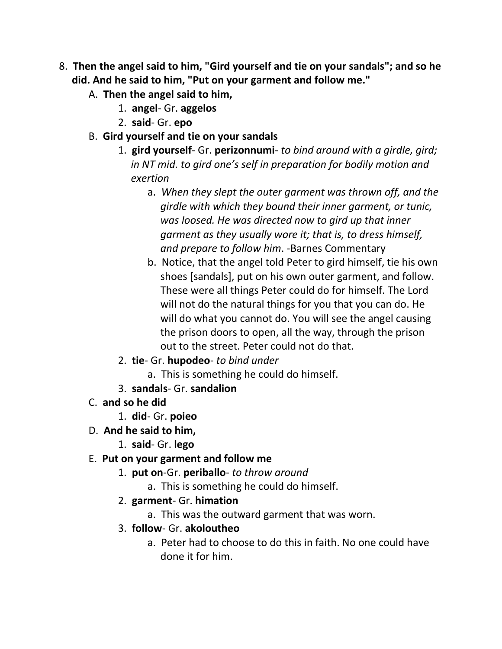- 8. **Then the angel said to him, "Gird yourself and tie on your sandals"; and so he did. And he said to him, "Put on your garment and follow me."** 
	- A. **Then the angel said to him,**
		- 1. **angel** Gr. **aggelos**
		- 2. **said** Gr. **epo**
	- B. **Gird yourself and tie on your sandals**
		- 1. **gird yourself** Gr. **perizonnumi** *to bind around with a girdle, gird; in NT mid. to gird one's self in preparation for bodily motion and exertion*
			- a. *When they slept the outer garment was thrown off, and the girdle with which they bound their inner garment, or tunic, was loosed. He was directed now to gird up that inner garment as they usually wore it; that is, to dress himself, and prepare to follow him*. -Barnes Commentary
			- b. Notice, that the angel told Peter to gird himself, tie his own shoes [sandals], put on his own outer garment, and follow. These were all things Peter could do for himself. The Lord will not do the natural things for you that you can do. He will do what you cannot do. You will see the angel causing the prison doors to open, all the way, through the prison out to the street. Peter could not do that.
		- 2. **tie** Gr. **hupodeo** *to bind under*
			- a. This is something he could do himself.
		- 3. **sandals** Gr. **sandalion**
	- C. **and so he did**
		- 1. **did** Gr. **poieo**
	- D. **And he said to him,**
		- 1. **said** Gr. **lego**
	- E. **Put on your garment and follow me**
		- 1. **put on**-Gr. **periballo** *to throw around*
			- a. This is something he could do himself.
		- 2. **garment** Gr. **himation**
			- a. This was the outward garment that was worn.
		- 3. **follow** Gr. **akoloutheo**
			- a. Peter had to choose to do this in faith. No one could have done it for him.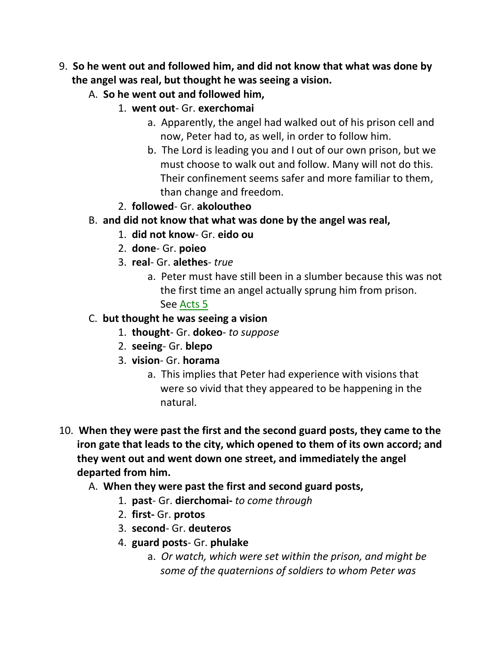- 9. **So he went out and followed him, and did not know that what was done by the angel was real, but thought he was seeing a vision.** 
	- A. **So he went out and followed him,**
		- 1. **went out** Gr. **exerchomai**
			- a. Apparently, the angel had walked out of his prison cell and now, Peter had to, as well, in order to follow him.
			- b. The Lord is leading you and I out of our own prison, but we must choose to walk out and follow. Many will not do this. Their confinement seems safer and more familiar to them, than change and freedom.
		- 2. **followed** Gr. **akoloutheo**
	- B. **and did not know that what was done by the angel was real,**
		- 1. **did not know** Gr. **eido ou**
		- 2. **done** Gr. **poieo**
		- 3. **real** Gr. **alethes** *true*
			- a. Peter must have still been in a slumber because this was not the first time an angel actually sprung him from prison.

See Acts 5

- C. **but thought he was seeing a vision**
	- 1. **thought** Gr. **dokeo** *to suppose*
	- 2. **seeing** Gr. **blepo**
	- 3. **vision** Gr. **horama**
		- a. This implies that Peter had experience with visions that were so vivid that they appeared to be happening in the natural.
- 10. **When they were past the first and the second guard posts, they came to the iron gate that leads to the city, which opened to them of its own accord; and they went out and went down one street, and immediately the angel departed from him.** 
	- A. **When they were past the first and second guard posts,**
		- 1. **past** Gr. **dierchomai-** *to come through*
		- 2. **first-** Gr. **protos**
		- 3. **second** Gr. **deuteros**
		- 4. **guard posts** Gr. **phulake**
			- a. *Or watch, which were set within the prison, and might be some of the quaternions of soldiers to whom Peter was*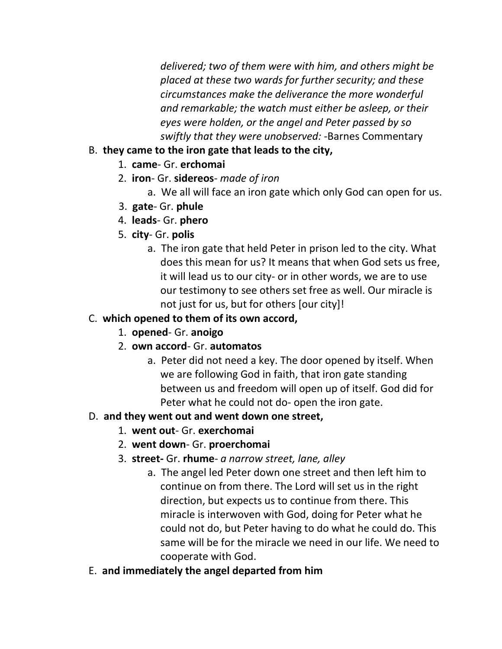*delivered; two of them were with him, and others might be placed at these two wards for further security; and these circumstances make the deliverance the more wonderful and remarkable; the watch must either be asleep, or their eyes were holden, or the angel and Peter passed by so swiftly that they were unobserved:* -Barnes Commentary

#### B. **they came to the iron gate that leads to the city,**

- 1. **came** Gr. **erchomai**
- 2. **iron** Gr. **sidereos** *made of iron*
	- a. We all will face an iron gate which only God can open for us.
- 3. **gate** Gr. **phule**
- 4. **leads** Gr. **phero**
- 5. **city** Gr. **polis**
	- a. The iron gate that held Peter in prison led to the city. What does this mean for us? It means that when God sets us free, it will lead us to our city- or in other words, we are to use our testimony to see others set free as well. Our miracle is not just for us, but for others [our city]!

## C. **which opened to them of its own accord,**

- 1. **opened** Gr. **anoigo**
- 2. **own accord** Gr. **automatos**
	- a. Peter did not need a key. The door opened by itself. When we are following God in faith, that iron gate standing between us and freedom will open up of itself. God did for Peter what he could not do- open the iron gate.

## D. **and they went out and went down one street,**

- 1. **went out** Gr. **exerchomai**
- 2. **went down** Gr. **proerchomai**
- 3. **street-** Gr. **rhume** *a narrow street, lane, alley*
	- a. The angel led Peter down one street and then left him to continue on from there. The Lord will set us in the right direction, but expects us to continue from there. This miracle is interwoven with God, doing for Peter what he could not do, but Peter having to do what he could do. This same will be for the miracle we need in our life. We need to cooperate with God.
- E. **and immediately the angel departed from him**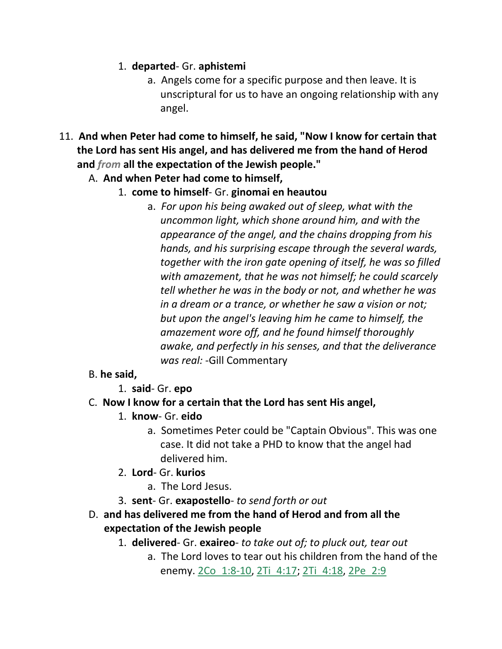#### 1. **departed**- Gr. **aphistemi**

- a. Angels come for a specific purpose and then leave. It is unscriptural for us to have an ongoing relationship with any angel.
- 11. **And when Peter had come to himself, he said, "Now I know for certain that the Lord has sent His angel, and has delivered me from the hand of Herod and** *from* **all the expectation of the Jewish people."**
	- A. **And when Peter had come to himself,**
		- 1. **come to himself** Gr. **ginomai en heautou**
			- a. *For upon his being awaked out of sleep, what with the uncommon light, which shone around him, and with the appearance of the angel, and the chains dropping from his hands, and his surprising escape through the several wards, together with the iron gate opening of itself, he was so filled with amazement, that he was not himself; he could scarcely tell whether he was in the body or not, and whether he was in a dream or a trance, or whether he saw a vision or not; but upon the angel's leaving him he came to himself, the amazement wore off, and he found himself thoroughly awake, and perfectly in his senses, and that the deliverance was real:* -Gill Commentary

#### B. **he said,**

## 1. **said**- Gr. **epo**

#### C. **Now I know for a certain that the Lord has sent His angel,**

- 1. **know** Gr. **eido**
	- a. Sometimes Peter could be "Captain Obvious". This was one case. It did not take a PHD to know that the angel had delivered him.
- 2. **Lord** Gr. **kurios**
	- a. The Lord Jesus.
- 3. **sent** Gr. **exapostello** *to send forth or out*
- D. **and has delivered me from the hand of Herod and from all the expectation of the Jewish people** 
	- 1. **delivered** Gr. **exaireo** *to take out of; to pluck out, tear out*
		- a. The Lord loves to tear out his children from the hand of the enemy. 2Co 1:8-10, 2Ti 4:17; 2Ti 4:18, 2Pe 2:9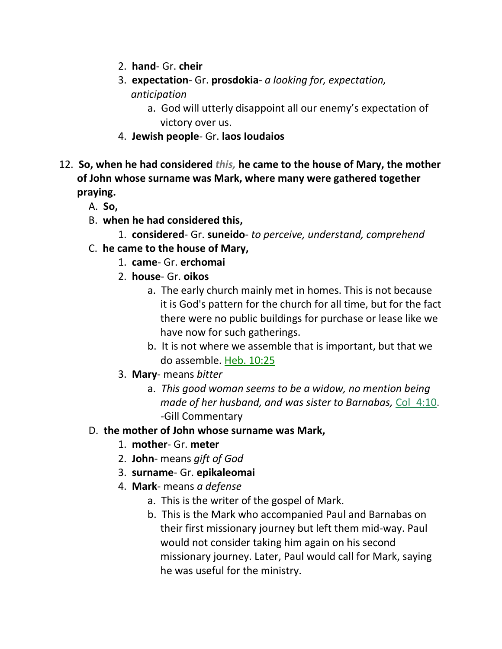- 2. **hand** Gr. **cheir**
- 3. **expectation** Gr. **prosdokia** *a looking for, expectation, anticipation*
	- a. God will utterly disappoint all our enemy's expectation of victory over us.
- 4. **Jewish people** Gr. **laos Ioudaios**
- 12. **So, when he had considered** *this,* **he came to the house of Mary, the mother of John whose surname was Mark, where many were gathered together praying.** 
	- A. **So,**
	- B. **when he had considered this,**
		- 1. **considered** Gr. **suneido** *to perceive, understand, comprehend*
	- C. **he came to the house of Mary,**
		- 1. **came** Gr. **erchomai**
		- 2. **house** Gr. **oikos**
			- a. The early church mainly met in homes. This is not because it is God's pattern for the church for all time, but for the fact there were no public buildings for purchase or lease like we have now for such gatherings.
			- b. It is not where we assemble that is important, but that we do assemble. Heb. 10:25
		- 3. **Mary** means *bitter*
			- a. *This good woman seems to be a widow, no mention being made of her husband, and was sister to Barnabas,* Col\_4:10. -Gill Commentary
	- D. **the mother of John whose surname was Mark,**
		- 1. **mother** Gr. **meter**
		- 2. **John** means *gift of God*
		- 3. **surname** Gr. **epikaleomai**
		- 4. **Mark** means *a defense*
			- a. This is the writer of the gospel of Mark.
			- b. This is the Mark who accompanied Paul and Barnabas on their first missionary journey but left them mid-way. Paul would not consider taking him again on his second missionary journey. Later, Paul would call for Mark, saying he was useful for the ministry.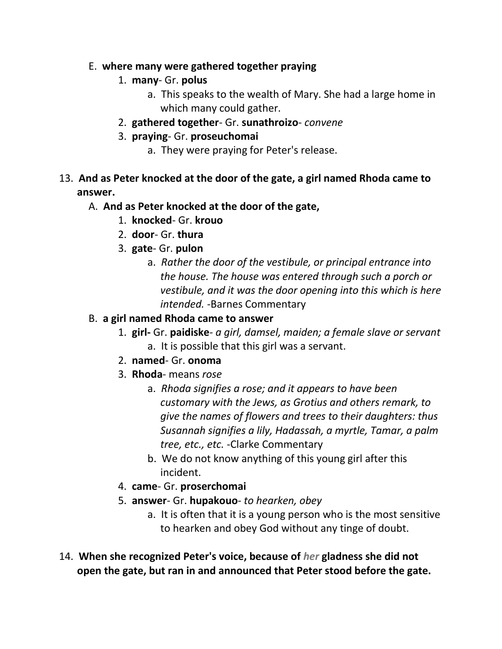#### E. **where many were gathered together praying**

- 1. **many** Gr. **polus**
	- a. This speaks to the wealth of Mary. She had a large home in which many could gather.
- 2. **gathered together** Gr. **sunathroizo** *convene*
- 3. **praying** Gr. **proseuchomai**
	- a. They were praying for Peter's release.
- 13. **And as Peter knocked at the door of the gate, a girl named Rhoda came to answer.**

#### A. **And as Peter knocked at the door of the gate,**

- 1. **knocked** Gr. **krouo**
- 2. **door** Gr. **thura**
- 3. **gate** Gr. **pulon**
	- a. *Rather the door of the vestibule, or principal entrance into the house. The house was entered through such a porch or vestibule, and it was the door opening into this which is here intended.* -Barnes Commentary
- B. **a girl named Rhoda came to answer**
	- 1. **girl-** Gr. **paidiske** *a girl, damsel, maiden; a female slave or servant* a. It is possible that this girl was a servant.
	- 2. **named** Gr. **onoma**
	- 3. **Rhoda** means *rose*
		- a. *Rhoda signifies a rose; and it appears to have been customary with the Jews, as Grotius and others remark, to give the names of flowers and trees to their daughters: thus Susannah signifies a lily, Hadassah, a myrtle, Tamar, a palm tree, etc., etc.* -Clarke Commentary
		- b. We do not know anything of this young girl after this incident.
	- 4. **came** Gr. **proserchomai**
	- 5. **answer** Gr. **hupakouo** *to hearken, obey*
		- a. It is often that it is a young person who is the most sensitive to hearken and obey God without any tinge of doubt.
- 14. **When she recognized Peter's voice, because of** *her* **gladness she did not open the gate, but ran in and announced that Peter stood before the gate.**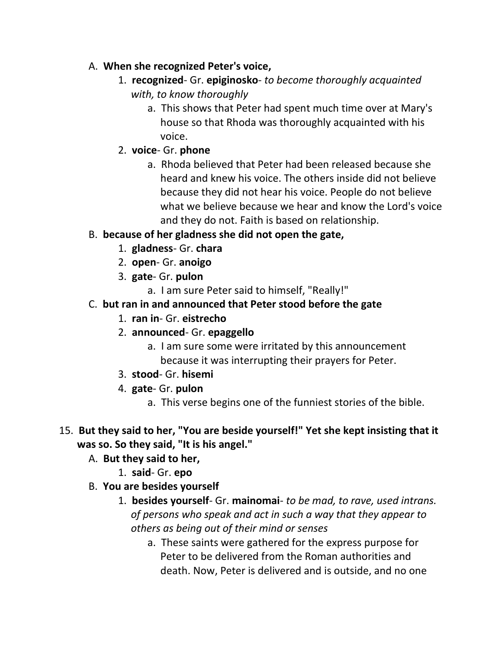- A. **When she recognized Peter's voice,**
	- 1. **recognized** Gr. **epiginosko** *to become thoroughly acquainted with, to know thoroughly*
		- a. This shows that Peter had spent much time over at Mary's house so that Rhoda was thoroughly acquainted with his voice.
	- 2. **voice** Gr. **phone**
		- a. Rhoda believed that Peter had been released because she heard and knew his voice. The others inside did not believe because they did not hear his voice. People do not believe what we believe because we hear and know the Lord's voice and they do not. Faith is based on relationship.

## B. **because of her gladness she did not open the gate,**

- 1. **gladness** Gr. **chara**
- 2. **open** Gr. **anoigo**
- 3. **gate** Gr. **pulon**
	- a. I am sure Peter said to himself, "Really!"
- C. **but ran in and announced that Peter stood before the gate**
	- 1. **ran in** Gr. **eistrecho**
	- 2. **announced** Gr. **epaggello**
		- a. I am sure some were irritated by this announcement because it was interrupting their prayers for Peter.
	- 3. **stood** Gr. **hisemi**
	- 4. **gate** Gr. **pulon**
		- a. This verse begins one of the funniest stories of the bible.
- 15. **But they said to her, "You are beside yourself!" Yet she kept insisting that it was so. So they said, "It is his angel."** 
	- A. **But they said to her,**
		- 1. **said** Gr. **epo**
	- B. **You are besides yourself**
		- 1. **besides yourself** Gr. **mainomai** *to be mad, to rave, used intrans. of persons who speak and act in such a way that they appear to others as being out of their mind or senses* 
			- a. These saints were gathered for the express purpose for Peter to be delivered from the Roman authorities and death. Now, Peter is delivered and is outside, and no one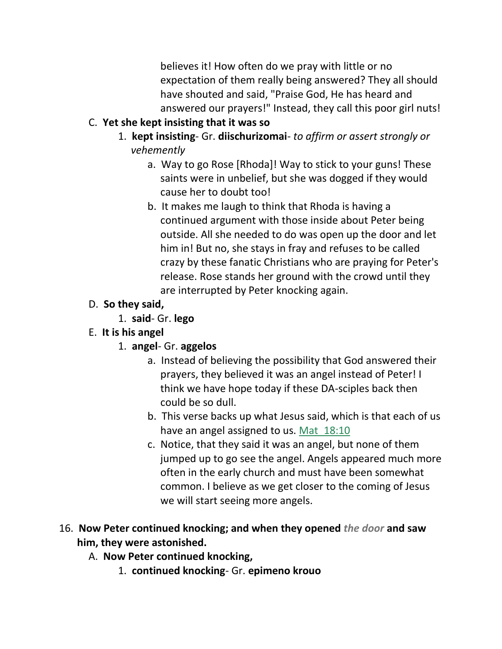believes it! How often do we pray with little or no expectation of them really being answered? They all should have shouted and said, "Praise God, He has heard and answered our prayers!" Instead, they call this poor girl nuts!

- C. **Yet she kept insisting that it was so**
	- 1. **kept insisting** Gr. **diischurizomai** *to affirm or assert strongly or vehemently*
		- a. Way to go Rose [Rhoda]! Way to stick to your guns! These saints were in unbelief, but she was dogged if they would cause her to doubt too!
		- b. It makes me laugh to think that Rhoda is having a continued argument with those inside about Peter being outside. All she needed to do was open up the door and let him in! But no, she stays in fray and refuses to be called crazy by these fanatic Christians who are praying for Peter's release. Rose stands her ground with the crowd until they are interrupted by Peter knocking again.

## D. **So they said,**

- 1. **said** Gr. **lego**
- E. **It is his angel**
	- 1. **angel** Gr. **aggelos**
		- a. Instead of believing the possibility that God answered their prayers, they believed it was an angel instead of Peter! I think we have hope today if these DA-sciples back then could be so dull.
		- b. This verse backs up what Jesus said, which is that each of us have an angel assigned to us. Mat 18:10
		- c. Notice, that they said it was an angel, but none of them jumped up to go see the angel. Angels appeared much more often in the early church and must have been somewhat common. I believe as we get closer to the coming of Jesus we will start seeing more angels.
- 16. **Now Peter continued knocking; and when they opened** *the door* **and saw him, they were astonished.** 
	- A. **Now Peter continued knocking,**
		- 1. **continued knocking** Gr. **epimeno krouo**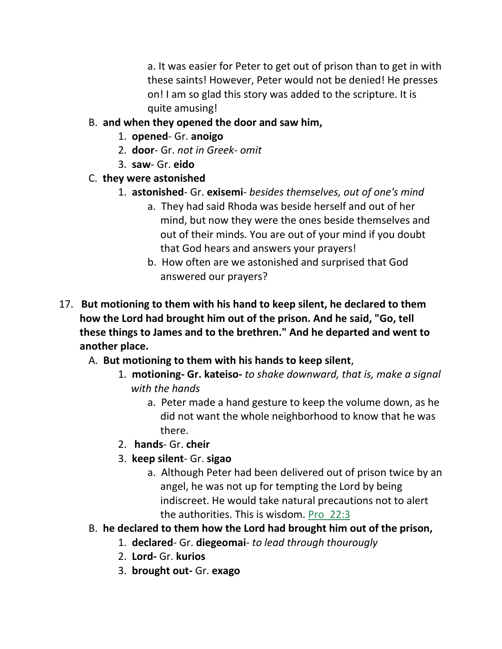a. It was easier for Peter to get out of prison than to get in with these saints! However, Peter would not be denied! He presses on! I am so glad this story was added to the scripture. It is quite amusing!

- B. **and when they opened the door and saw him,**
	- 1. **opened** Gr. **anoigo**
	- 2. **door** Gr. *not in Greek- omit*
	- 3. **saw** Gr. **eido**
- C. **they were astonished**
	- 1. **astonished** Gr. **exisemi** *besides themselves, out of one's mind*
		- a. They had said Rhoda was beside herself and out of her mind, but now they were the ones beside themselves and out of their minds. You are out of your mind if you doubt that God hears and answers your prayers!
		- b. How often are we astonished and surprised that God answered our prayers?
- 17. **But motioning to them with his hand to keep silent, he declared to them how the Lord had brought him out of the prison. And he said, "Go, tell these things to James and to the brethren." And he departed and went to another place.** 
	- A. **But motioning to them with his hands to keep silent**,
		- 1. **motioning- Gr. kateiso-** *to shake downward, that is, make a signal with the hands*
			- a. Peter made a hand gesture to keep the volume down, as he did not want the whole neighborhood to know that he was there.
		- 2. **hands** Gr. **cheir**
		- 3. **keep silent** Gr. **sigao**
			- a. Although Peter had been delivered out of prison twice by an angel, he was not up for tempting the Lord by being indiscreet. He would take natural precautions not to alert the authorities. This is wisdom. Pro\_22:3
	- B. **he declared to them how the Lord had brought him out of the prison,**
		- 1. **declared** Gr. **diegeomai** *to lead through thourougly*
		- 2. **Lord-** Gr. **kurios**
		- 3. **brought out-** Gr. **exago**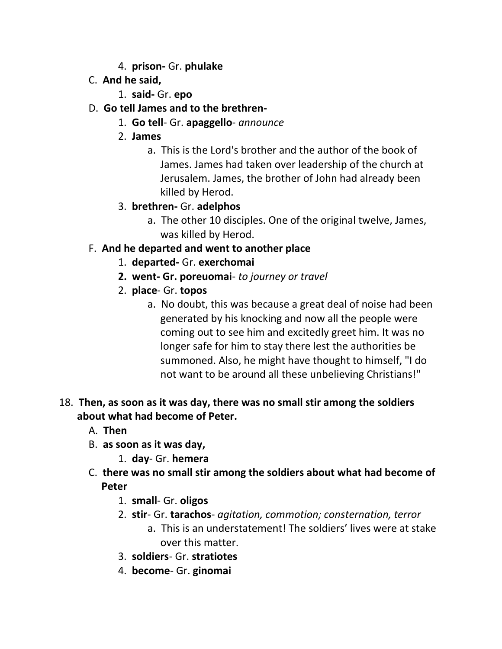- 4. **prison-** Gr. **phulake**
- C. **And he said,**
	- 1. **said-** Gr. **epo**
- D. **Go tell James and to the brethren-**
	- 1. **Go tell** Gr. **apaggello** *announce*
	- 2. **James**
		- a. This is the Lord's brother and the author of the book of James. James had taken over leadership of the church at Jerusalem. James, the brother of John had already been killed by Herod.
	- 3. **brethren-** Gr. **adelphos**
		- a. The other 10 disciples. One of the original twelve, James, was killed by Herod.

#### F. **And he departed and went to another place**

- 1. **departed-** Gr. **exerchomai**
- **2. went- Gr. poreuomai** *to journey or travel*
- 2. **place** Gr. **topos**
	- a. No doubt, this was because a great deal of noise had been generated by his knocking and now all the people were coming out to see him and excitedly greet him. It was no longer safe for him to stay there lest the authorities be summoned. Also, he might have thought to himself, "I do not want to be around all these unbelieving Christians!"

#### 18. **Then, as soon as it was day, there was no small stir among the soldiers about what had become of Peter.**

- A. **Then**
- B. **as soon as it was day,**
	- 1. **day** Gr. **hemera**
- C. **there was no small stir among the soldiers about what had become of Peter**
	- 1. **small** Gr. **oligos**
	- 2. **stir** Gr. **tarachos** *agitation, commotion; consternation, terror*
		- a. This is an understatement! The soldiers' lives were at stake over this matter.
	- 3. **soldiers** Gr. **stratiotes**
	- 4. **become** Gr. **ginomai**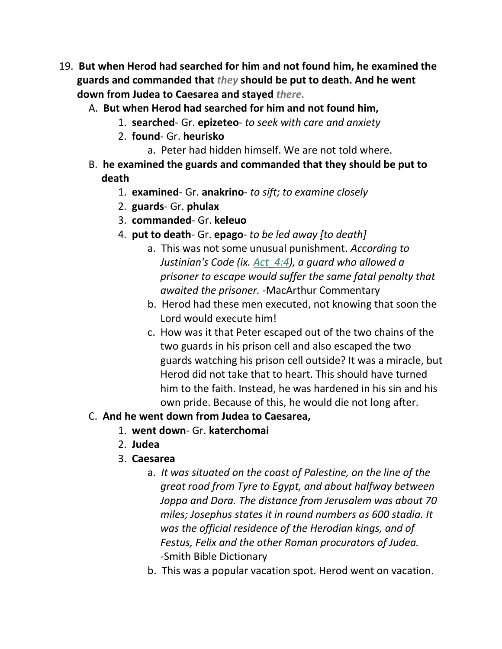- 19. **But when Herod had searched for him and not found him, he examined the guards and commanded that** *they* **should be put to death. And he went down from Judea to Caesarea and stayed** *there.*
	- A. **But when Herod had searched for him and not found him,**
		- 1. **searched** Gr. **epizeteo** *to seek with care and anxiety*
		- 2. **found** Gr. **heurisko**
			- a. Peter had hidden himself. We are not told where.
	- B. **he examined the guards and commanded that they should be put to death**
		- 1. **examined** Gr. **anakrino** *to sift; to examine closely*
		- 2. **guards** Gr. **phulax**
		- 3. **commanded** Gr. **keleuo**
		- 4. **put to death** Gr. **epago** *to be led away [to death]*
			- a. This was not some unusual punishment. *According to Justinian's Code (ix. Act\_4:4), a guard who allowed a prisoner to escape would suffer the same fatal penalty that awaited the prisoner. -*MacArthur Commentary
			- b. Herod had these men executed, not knowing that soon the Lord would execute him!
			- c. How was it that Peter escaped out of the two chains of the two guards in his prison cell and also escaped the two guards watching his prison cell outside? It was a miracle, but Herod did not take that to heart. This should have turned him to the faith. Instead, he was hardened in his sin and his own pride. Because of this, he would die not long after.

#### C. **And he went down from Judea to Caesarea,**

- 1. **went down** Gr. **katerchomai**
- 2. **Judea**
- 3. **Caesarea**
	- a. *It was situated on the coast of Palestine, on the line of the great road from Tyre to Egypt, and about halfway between Joppa and Dora. The distance from Jerusalem was about 70 miles; Josephus states it in round numbers as 600 stadia. It was the official residence of the Herodian kings, and of Festus, Felix and the other Roman procurators of Judea.* -Smith Bible Dictionary
	- b. This was a popular vacation spot. Herod went on vacation.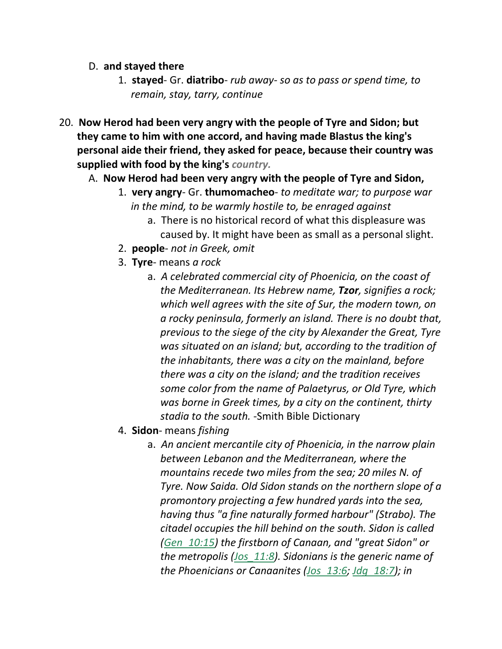- D. **and stayed there**
	- 1. **stayed** Gr. **diatribo** *rub away- so as to pass or spend time, to remain, stay, tarry, continue*
- 20. **Now Herod had been very angry with the people of Tyre and Sidon; but they came to him with one accord, and having made Blastus the king's personal aide their friend, they asked for peace, because their country was supplied with food by the king's** *country.*
	- A. **Now Herod had been very angry with the people of Tyre and Sidon,**
		- 1. **very angry** Gr. **thumomacheo** *to meditate war; to purpose war in the mind, to be warmly hostile to, be enraged against*
			- a. There is no historical record of what this displeasure was caused by. It might have been as small as a personal slight.
		- 2. **people** *not in Greek, omit*
		- 3. **Tyre** means *a rock*
			- a. *A celebrated commercial city of Phoenicia, on the coast of the Mediterranean. Its Hebrew name, Tzor, signifies a rock; which well agrees with the site of Sur, the modern town, on a rocky peninsula, formerly an island. There is no doubt that, previous to the siege of the city by Alexander the Great, Tyre was situated on an island; but, according to the tradition of the inhabitants, there was a city on the mainland, before there was a city on the island; and the tradition receives some color from the name of Palaetyrus, or Old Tyre, which was borne in Greek times, by a city on the continent, thirty stadia to the south.* -Smith Bible Dictionary
		- 4. **Sidon** means *fishing*
			- a. *An ancient mercantile city of Phoenicia, in the narrow plain between Lebanon and the Mediterranean, where the mountains recede two miles from the sea; 20 miles N. of Tyre. Now Saida. Old Sidon stands on the northern slope of a promontory projecting a few hundred yards into the sea, having thus "a fine naturally formed harbour" (Strabo). The citadel occupies the hill behind on the south. Sidon is called (Gen\_10:15) the firstborn of Canaan, and "great Sidon" or the metropolis (Jos\_11:8). Sidonians is the generic name of the Phoenicians or Canaanites (Jos\_13:6; Jdg\_18:7); in*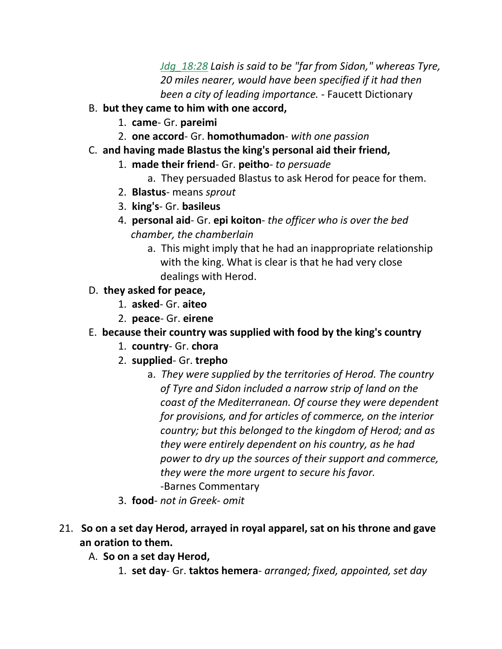*Jdg\_18:28 Laish is said to be "far from Sidon," whereas Tyre, 20 miles nearer, would have been specified if it had then been a city of leading importance.* - Faucett Dictionary

- B. **but they came to him with one accord,**
	- 1. **came** Gr. **pareimi**
	- 2. **one accord** Gr. **homothumadon** *with one passion*
- C. **and having made Blastus the king's personal aid their friend,**
	- 1. **made their friend** Gr. **peitho** *to persuade*
		- a. They persuaded Blastus to ask Herod for peace for them.
	- 2. **Blastus** means *sprout*
	- 3. **king's** Gr. **basileus**
	- 4. **personal aid** Gr. **epi koiton** *the officer who is over the bed chamber, the chamberlain*
		- a. This might imply that he had an inappropriate relationship with the king. What is clear is that he had very close dealings with Herod.
- D. **they asked for peace,**
	- 1. **asked** Gr. **aiteo**
	- 2. **peace** Gr. **eirene**
- E. **because their country was supplied with food by the king's country**
	- 1. **country** Gr. **chora**
	- 2. **supplied** Gr. **trepho**
		- a. *They were supplied by the territories of Herod. The country of Tyre and Sidon included a narrow strip of land on the coast of the Mediterranean. Of course they were dependent for provisions, and for articles of commerce, on the interior country; but this belonged to the kingdom of Herod; and as they were entirely dependent on his country, as he had power to dry up the sources of their support and commerce, they were the more urgent to secure his favor.* -Barnes Commentary
	- 3. **food** *not in Greek- omit*
- 21. **So on a set day Herod, arrayed in royal apparel, sat on his throne and gave an oration to them.** 
	- A. **So on a set day Herod,**
		- 1. **set day** Gr. **taktos hemera** *arranged; fixed, appointed, set day*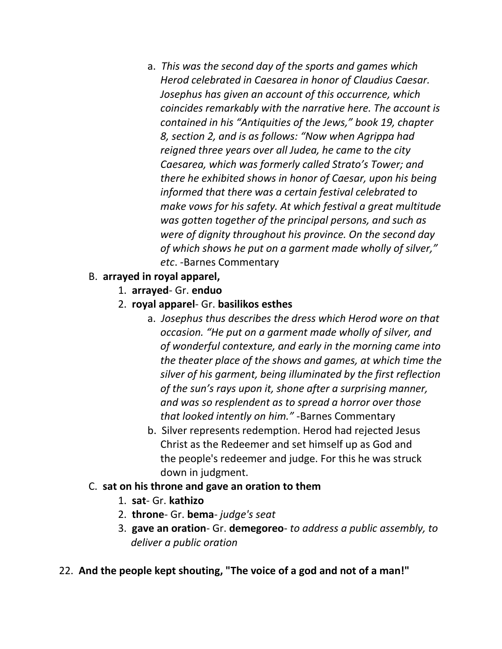- a. *This was the second day of the sports and games which Herod celebrated in Caesarea in honor of Claudius Caesar. Josephus has given an account of this occurrence, which coincides remarkably with the narrative here. The account is contained in his "Antiquities of the Jews," book 19, chapter 8, section 2, and is as follows: "Now when Agrippa had reigned three years over all Judea, he came to the city Caesarea, which was formerly called Strato's Tower; and there he exhibited shows in honor of Caesar, upon his being informed that there was a certain festival celebrated to make vows for his safety. At which festival a great multitude was gotten together of the principal persons, and such as were of dignity throughout his province. On the second day of which shows he put on a garment made wholly of silver," etc*. -Barnes Commentary
- B. **arrayed in royal apparel,**
	- 1. **arrayed** Gr. **enduo**
	- 2. **royal apparel** Gr. **basilikos esthes**
		- a. *Josephus thus describes the dress which Herod wore on that occasion. "He put on a garment made wholly of silver, and of wonderful contexture, and early in the morning came into the theater place of the shows and games, at which time the silver of his garment, being illuminated by the first reflection of the sun's rays upon it, shone after a surprising manner, and was so resplendent as to spread a horror over those that looked intently on him."* -Barnes Commentary
		- b. Silver represents redemption. Herod had rejected Jesus Christ as the Redeemer and set himself up as God and the people's redeemer and judge. For this he was struck down in judgment.
- C. **sat on his throne and gave an oration to them**
	- 1. **sat** Gr. **kathizo**
	- 2. **throne** Gr. **bema** *judge's seat*
	- 3. **gave an oration** Gr. **demegoreo** *to address a public assembly, to deliver a public oration*
- 22. **And the people kept shouting, "The voice of a god and not of a man!"**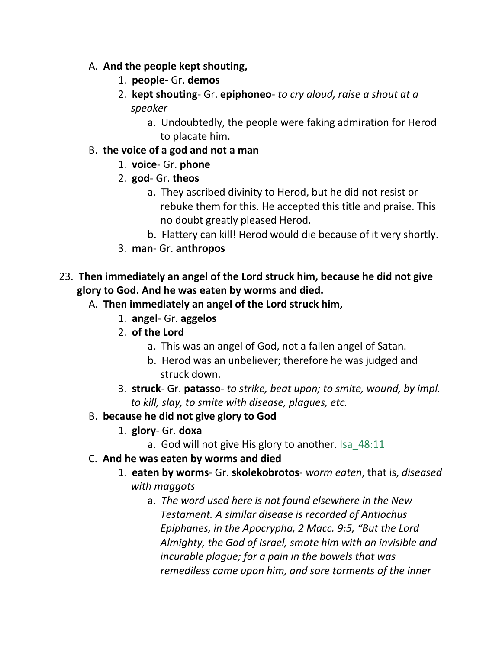- A. **And the people kept shouting,**
	- 1. **people** Gr. **demos**
	- 2. **kept shouting** Gr. **epiphoneo** *to cry aloud, raise a shout at a speaker*
		- a. Undoubtedly, the people were faking admiration for Herod to placate him.
- B. **the voice of a god and not a man**
	- 1. **voice** Gr. **phone**
	- 2. **god** Gr. **theos**
		- a. They ascribed divinity to Herod, but he did not resist or rebuke them for this. He accepted this title and praise. This no doubt greatly pleased Herod.
		- b. Flattery can kill! Herod would die because of it very shortly.
	- 3. **man** Gr. **anthropos**
- 23. **Then immediately an angel of the Lord struck him, because he did not give glory to God. And he was eaten by worms and died.** 
	- A. **Then immediately an angel of the Lord struck him,**
		- 1. **angel** Gr. **aggelos**
		- 2. **of the Lord**
			- a. This was an angel of God, not a fallen angel of Satan.
			- b. Herod was an unbeliever; therefore he was judged and struck down.
		- 3. **struck** Gr. **patasso** *to strike, beat upon; to smite, wound, by impl. to kill, slay, to smite with disease, plagues, etc.*
	- B. **because he did not give glory to God**
		- 1. **glory** Gr. **doxa**
			- a. God will not give His glory to another. Isa\_48:11
	- C. **And he was eaten by worms and died**
		- 1. **eaten by worms** Gr. **skolekobrotos** *worm eaten*, that is, *diseased with maggots*
			- a. *The word used here is not found elsewhere in the New Testament. A similar disease is recorded of Antiochus Epiphanes, in the Apocrypha, 2 Macc. 9:5, "But the Lord Almighty, the God of Israel, smote him with an invisible and incurable plague; for a pain in the bowels that was remediless came upon him, and sore torments of the inner*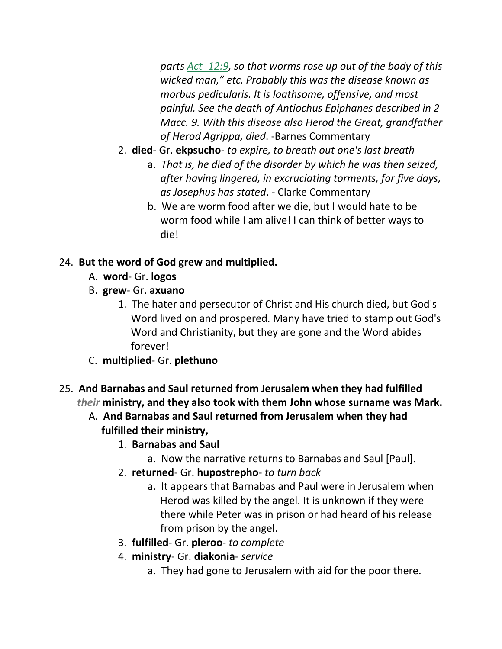*parts Act\_12:9, so that worms rose up out of the body of this wicked man," etc. Probably this was the disease known as morbus pedicularis. It is loathsome, offensive, and most painful. See the death of Antiochus Epiphanes described in 2 Macc. 9. With this disease also Herod the Great, grandfather of Herod Agrippa, died*. -Barnes Commentary

- 2. **died** Gr. **ekpsucho** *to expire, to breath out one's last breath*
	- a. *That is, he died of the disorder by which he was then seized, after having lingered, in excruciating torments, for five days, as Josephus has stated*. - Clarke Commentary
	- b. We are worm food after we die, but I would hate to be worm food while I am alive! I can think of better ways to die!

## 24. **But the word of God grew and multiplied.**

- A. **word** Gr. **logos**
- B. **grew** Gr. **axuano**
	- 1. The hater and persecutor of Christ and His church died, but God's Word lived on and prospered. Many have tried to stamp out God's Word and Christianity, but they are gone and the Word abides forever!
- C. **multiplied** Gr. **plethuno**
- 25. **And Barnabas and Saul returned from Jerusalem when they had fulfilled** *their* **ministry, and they also took with them John whose surname was Mark.** 
	- A. **And Barnabas and Saul returned from Jerusalem when they had fulfilled their ministry,**
		- 1. **Barnabas and Saul**
			- a. Now the narrative returns to Barnabas and Saul [Paul].
		- 2. **returned** Gr. **hupostrepho** *to turn back*
			- a. It appears that Barnabas and Paul were in Jerusalem when Herod was killed by the angel. It is unknown if they were there while Peter was in prison or had heard of his release from prison by the angel.
		- 3. **fulfilled** Gr. **pleroo** *to complete*
		- 4. **ministry** Gr. **diakonia** *service*
			- a. They had gone to Jerusalem with aid for the poor there.